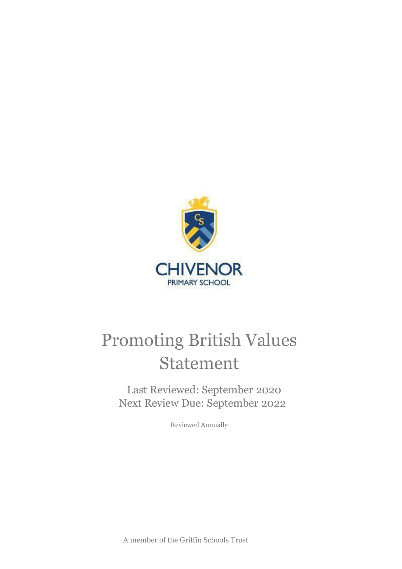

# Promoting British Values Statement

Last Reviewed: September 2020 Next Review Due: September 2022

Reviewed Annually

A member of the Griffin Schools Trust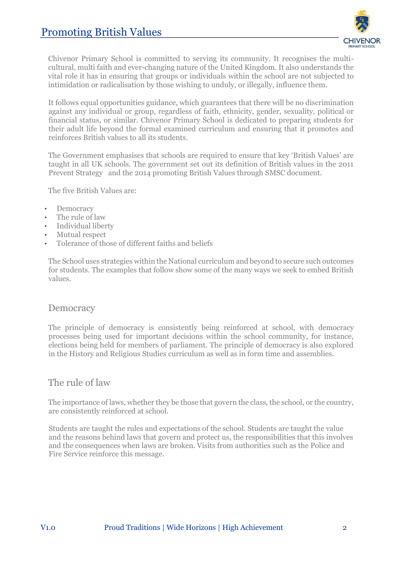

Chivenor Primary School is committed to serving its community. It recognises the multicultural, multi faith and ever-changing nature of the United Kingdom. It also understands the vital role it has in ensuring that groups or individuals within the school are not subjected to intimidation or radicalisation by those wishing to unduly, or illegally, influence them.

It follows equal opportunities guidance, which guarantees that there will be no discrimination against any individual or group, regardless of faith, ethnicity, gender, sexuality, political or financial status, or similar. Chivenor Primary School is dedicated to preparing students for their adult life beyond the formal examined curriculum and ensuring that it promotes and reinforces British values to all its students.

The Government emphasises that schools are required to ensure that key 'British Values' are taught in all UK schools. The government set out its definition of British values in the 2011 Prevent Strategy and the 2014 promoting British Values through SMSC document.

The five British Values are:

- **Democracy**
- The rule of law
- Individual liberty
- Mutual respect
- Tolerance of those of different faiths and beliefs

The School uses strategies within the National curriculum and beyond to secure such outcomes for students. The examples that follow show some of the many ways we seek to embed British values.

### **Democracy**

The principle of democracy is consistently being reinforced at school, with democracy processes being used for important decisions within the school community, for instance, elections being held for members of parliament. The principle of democracy is also explored in the History and Religious Studies curriculum as well as in form time and assemblies.

### The rule of law

The importance of laws, whether they be those that govern the class, the school, or the country, are consistently reinforced at school.

Students are taught the rules and expectations of the school. Students are taught the value and the reasons behind laws that govern and protect us, the responsibilities that this involves and the consequences when laws are broken. Visits from authorities such as the Police and Fire Service reinforce this message.